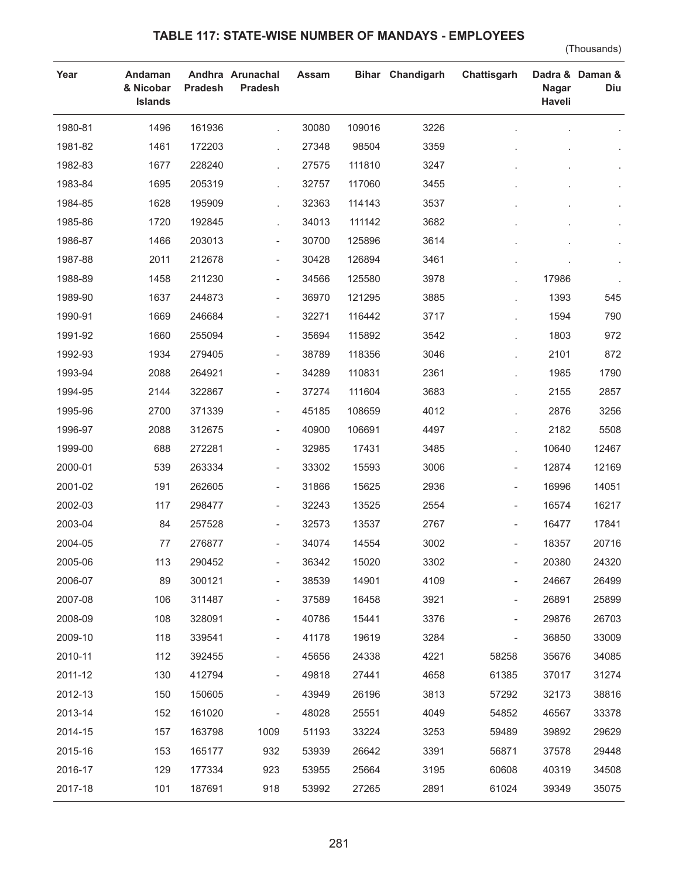## **TABLE 117: STATE-WISE NUMBER OF MANDAYS - EMPLOYEES**

(Thousands)

| Year    | Andaman<br>& Nicobar<br><b>Islands</b> | <b>Pradesh</b> | Andhra Arunachal<br><b>Pradesh</b> | <b>Assam</b> |        | Bihar Chandigarh | Chattisgarh                  | <b>Nagar</b><br>Haveli | Dadra & Daman &<br>Diu |
|---------|----------------------------------------|----------------|------------------------------------|--------------|--------|------------------|------------------------------|------------------------|------------------------|
| 1980-81 | 1496                                   | 161936         |                                    | 30080        | 109016 | 3226             |                              |                        |                        |
| 1981-82 | 1461                                   | 172203         |                                    | 27348        | 98504  | 3359             |                              |                        |                        |
| 1982-83 | 1677                                   | 228240         | l,                                 | 27575        | 111810 | 3247             |                              |                        |                        |
| 1983-84 | 1695                                   | 205319         |                                    | 32757        | 117060 | 3455             |                              |                        |                        |
| 1984-85 | 1628                                   | 195909         |                                    | 32363        | 114143 | 3537             |                              |                        |                        |
| 1985-86 | 1720                                   | 192845         | $\overline{a}$                     | 34013        | 111142 | 3682             |                              |                        |                        |
| 1986-87 | 1466                                   | 203013         | $\overline{\phantom{a}}$           | 30700        | 125896 | 3614             |                              |                        | $\cdot$                |
| 1987-88 | 2011                                   | 212678         | $\overline{\phantom{a}}$           | 30428        | 126894 | 3461             |                              |                        |                        |
| 1988-89 | 1458                                   | 211230         | $\overline{\phantom{a}}$           | 34566        | 125580 | 3978             | L.                           | 17986                  |                        |
| 1989-90 | 1637                                   | 244873         | $\overline{\phantom{a}}$           | 36970        | 121295 | 3885             |                              | 1393                   | 545                    |
| 1990-91 | 1669                                   | 246684         | $\overline{\phantom{a}}$           | 32271        | 116442 | 3717             |                              | 1594                   | 790                    |
| 1991-92 | 1660                                   | 255094         | $\overline{\phantom{a}}$           | 35694        | 115892 | 3542             |                              | 1803                   | 972                    |
| 1992-93 | 1934                                   | 279405         | $\overline{\phantom{a}}$           | 38789        | 118356 | 3046             |                              | 2101                   | 872                    |
| 1993-94 | 2088                                   | 264921         | $\overline{\phantom{a}}$           | 34289        | 110831 | 2361             |                              | 1985                   | 1790                   |
| 1994-95 | 2144                                   | 322867         | $\overline{\phantom{a}}$           | 37274        | 111604 | 3683             |                              | 2155                   | 2857                   |
| 1995-96 | 2700                                   | 371339         | $\overline{\phantom{a}}$           | 45185        | 108659 | 4012             | l.                           | 2876                   | 3256                   |
| 1996-97 | 2088                                   | 312675         | $\overline{\phantom{a}}$           | 40900        | 106691 | 4497             |                              | 2182                   | 5508                   |
| 1999-00 | 688                                    | 272281         | $\overline{\phantom{a}}$           | 32985        | 17431  | 3485             | L.                           | 10640                  | 12467                  |
| 2000-01 | 539                                    | 263334         | $\overline{\phantom{a}}$           | 33302        | 15593  | 3006             | $\overline{\phantom{a}}$     | 12874                  | 12169                  |
| 2001-02 | 191                                    | 262605         | $\overline{\phantom{a}}$           | 31866        | 15625  | 2936             | $\overline{\phantom{0}}$     | 16996                  | 14051                  |
| 2002-03 | 117                                    | 298477         | $\overline{\phantom{a}}$           | 32243        | 13525  | 2554             | $\overline{\phantom{a}}$     | 16574                  | 16217                  |
| 2003-04 | 84                                     | 257528         | $\overline{\phantom{a}}$           | 32573        | 13537  | 2767             | $\overline{\phantom{a}}$     | 16477                  | 17841                  |
| 2004-05 | 77                                     | 276877         |                                    | 34074        | 14554  | 3002             |                              | 18357                  | 20716                  |
| 2005-06 | 113                                    | 290452         |                                    | 36342        | 15020  | 3302             |                              | 20380                  | 24320                  |
| 2006-07 | 89                                     | 300121         | $\overline{\phantom{a}}$           | 38539        | 14901  | 4109             | $\overline{\phantom{a}}$     | 24667                  | 26499                  |
| 2007-08 | 106                                    | 311487         | $\overline{\phantom{a}}$           | 37589        | 16458  | 3921             | $\overline{\phantom{a}}$     | 26891                  | 25899                  |
| 2008-09 | 108                                    | 328091         | $\overline{\phantom{a}}$           | 40786        | 15441  | 3376             | $\qquad \qquad \blacksquare$ | 29876                  | 26703                  |
| 2009-10 | 118                                    | 339541         | $\qquad \qquad -$                  | 41178        | 19619  | 3284             | $\qquad \qquad \blacksquare$ | 36850                  | 33009                  |
| 2010-11 | 112                                    | 392455         | $\overline{\phantom{a}}$           | 45656        | 24338  | 4221             | 58258                        | 35676                  | 34085                  |
| 2011-12 | 130                                    | 412794         | $\overline{\phantom{a}}$           | 49818        | 27441  | 4658             | 61385                        | 37017                  | 31274                  |
| 2012-13 | 150                                    | 150605         | $\overline{\phantom{a}}$           | 43949        | 26196  | 3813             | 57292                        | 32173                  | 38816                  |
| 2013-14 | 152                                    | 161020         | $\qquad \qquad \blacksquare$       | 48028        | 25551  | 4049             | 54852                        | 46567                  | 33378                  |
| 2014-15 | 157                                    | 163798         | 1009                               | 51193        | 33224  | 3253             | 59489                        | 39892                  | 29629                  |
| 2015-16 | 153                                    | 165177         | 932                                | 53939        | 26642  | 3391             | 56871                        | 37578                  | 29448                  |
| 2016-17 | 129                                    | 177334         | 923                                | 53955        | 25664  | 3195             | 60608                        | 40319                  | 34508                  |
| 2017-18 | 101                                    | 187691         | 918                                | 53992        | 27265  | 2891             | 61024                        | 39349                  | 35075                  |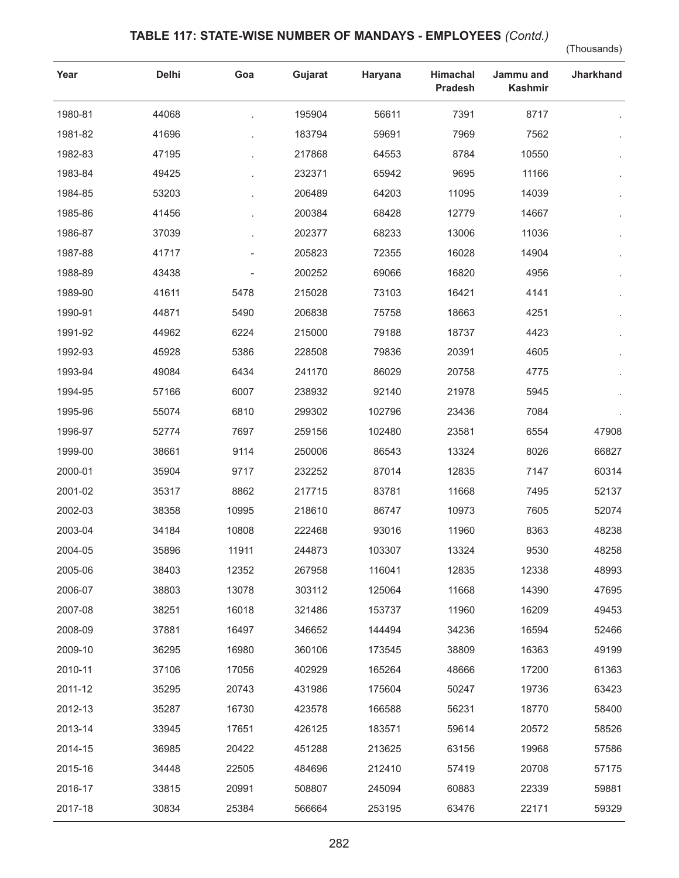## **TABLE 117: STATE-WISE NUMBER OF MANDAYS - EMPLOYEES** *(Contd.)*

(Thousands)

| Year    | Delhi | Goa   | Gujarat | Haryana | Himachal<br><b>Pradesh</b> | Jammu and<br><b>Kashmir</b> | Jharkhand |
|---------|-------|-------|---------|---------|----------------------------|-----------------------------|-----------|
| 1980-81 | 44068 |       | 195904  | 56611   | 7391                       | 8717                        |           |
| 1981-82 | 41696 |       | 183794  | 59691   | 7969                       | 7562                        |           |
| 1982-83 | 47195 |       | 217868  | 64553   | 8784                       | 10550                       |           |
| 1983-84 | 49425 |       | 232371  | 65942   | 9695                       | 11166                       |           |
| 1984-85 | 53203 |       | 206489  | 64203   | 11095                      | 14039                       |           |
| 1985-86 | 41456 |       | 200384  | 68428   | 12779                      | 14667                       |           |
| 1986-87 | 37039 |       | 202377  | 68233   | 13006                      | 11036                       |           |
| 1987-88 | 41717 |       | 205823  | 72355   | 16028                      | 14904                       |           |
| 1988-89 | 43438 |       | 200252  | 69066   | 16820                      | 4956                        |           |
| 1989-90 | 41611 | 5478  | 215028  | 73103   | 16421                      | 4141                        |           |
| 1990-91 | 44871 | 5490  | 206838  | 75758   | 18663                      | 4251                        |           |
| 1991-92 | 44962 | 6224  | 215000  | 79188   | 18737                      | 4423                        |           |
| 1992-93 | 45928 | 5386  | 228508  | 79836   | 20391                      | 4605                        |           |
| 1993-94 | 49084 | 6434  | 241170  | 86029   | 20758                      | 4775                        |           |
| 1994-95 | 57166 | 6007  | 238932  | 92140   | 21978                      | 5945                        |           |
| 1995-96 | 55074 | 6810  | 299302  | 102796  | 23436                      | 7084                        |           |
| 1996-97 | 52774 | 7697  | 259156  | 102480  | 23581                      | 6554                        | 47908     |
| 1999-00 | 38661 | 9114  | 250006  | 86543   | 13324                      | 8026                        | 66827     |
| 2000-01 | 35904 | 9717  | 232252  | 87014   | 12835                      | 7147                        | 60314     |
| 2001-02 | 35317 | 8862  | 217715  | 83781   | 11668                      | 7495                        | 52137     |
| 2002-03 | 38358 | 10995 | 218610  | 86747   | 10973                      | 7605                        | 52074     |
| 2003-04 | 34184 | 10808 | 222468  | 93016   | 11960                      | 8363                        | 48238     |
| 2004-05 | 35896 | 11911 | 244873  | 103307  | 13324                      | 9530                        | 48258     |
| 2005-06 | 38403 | 12352 | 267958  | 116041  | 12835                      | 12338                       | 48993     |
| 2006-07 | 38803 | 13078 | 303112  | 125064  | 11668                      | 14390                       | 47695     |
| 2007-08 | 38251 | 16018 | 321486  | 153737  | 11960                      | 16209                       | 49453     |
| 2008-09 | 37881 | 16497 | 346652  | 144494  | 34236                      | 16594                       | 52466     |
| 2009-10 | 36295 | 16980 | 360106  | 173545  | 38809                      | 16363                       | 49199     |
| 2010-11 | 37106 | 17056 | 402929  | 165264  | 48666                      | 17200                       | 61363     |
| 2011-12 | 35295 | 20743 | 431986  | 175604  | 50247                      | 19736                       | 63423     |
| 2012-13 | 35287 | 16730 | 423578  | 166588  | 56231                      | 18770                       | 58400     |
| 2013-14 | 33945 | 17651 | 426125  | 183571  | 59614                      | 20572                       | 58526     |
| 2014-15 | 36985 | 20422 | 451288  | 213625  | 63156                      | 19968                       | 57586     |
| 2015-16 | 34448 | 22505 | 484696  | 212410  | 57419                      | 20708                       | 57175     |
| 2016-17 | 33815 | 20991 | 508807  | 245094  | 60883                      | 22339                       | 59881     |
| 2017-18 | 30834 | 25384 | 566664  | 253195  | 63476                      | 22171                       | 59329     |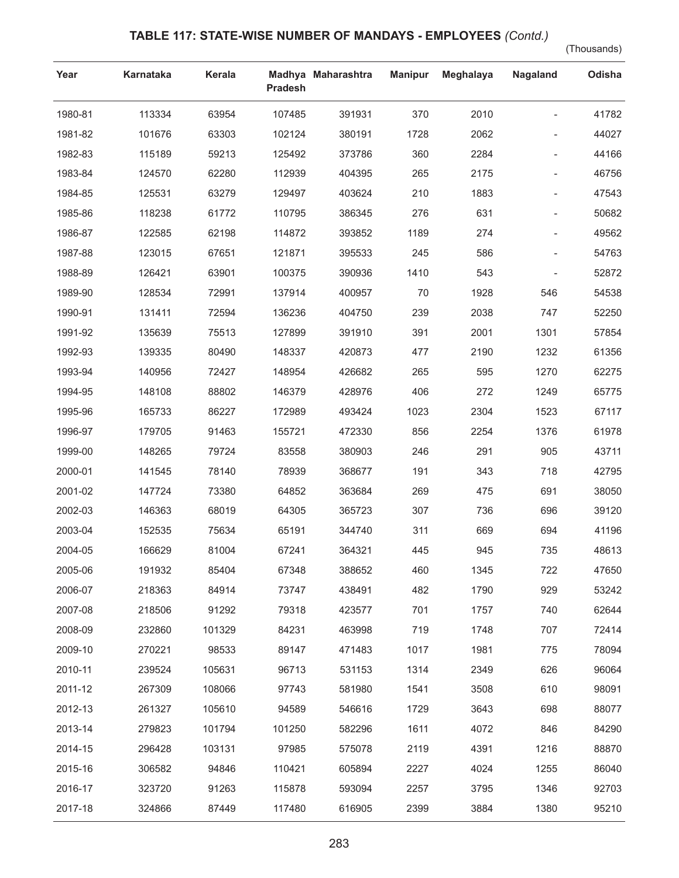## **TABLE 117: STATE-WISE NUMBER OF MANDAYS - EMPLOYEES** *(Contd.)*

(Thousands)

| Year    | Karnataka | Kerala | <b>Pradesh</b> | Madhya Maharashtra | <b>Manipur</b> | Meghalaya | Nagaland | Odisha |
|---------|-----------|--------|----------------|--------------------|----------------|-----------|----------|--------|
| 1980-81 | 113334    | 63954  | 107485         | 391931             | 370            | 2010      |          | 41782  |
| 1981-82 | 101676    | 63303  | 102124         | 380191             | 1728           | 2062      |          | 44027  |
| 1982-83 | 115189    | 59213  | 125492         | 373786             | 360            | 2284      |          | 44166  |
| 1983-84 | 124570    | 62280  | 112939         | 404395             | 265            | 2175      |          | 46756  |
| 1984-85 | 125531    | 63279  | 129497         | 403624             | 210            | 1883      |          | 47543  |
| 1985-86 | 118238    | 61772  | 110795         | 386345             | 276            | 631       |          | 50682  |
| 1986-87 | 122585    | 62198  | 114872         | 393852             | 1189           | 274       |          | 49562  |
| 1987-88 | 123015    | 67651  | 121871         | 395533             | 245            | 586       |          | 54763  |
| 1988-89 | 126421    | 63901  | 100375         | 390936             | 1410           | 543       |          | 52872  |
| 1989-90 | 128534    | 72991  | 137914         | 400957             | 70             | 1928      | 546      | 54538  |
| 1990-91 | 131411    | 72594  | 136236         | 404750             | 239            | 2038      | 747      | 52250  |
| 1991-92 | 135639    | 75513  | 127899         | 391910             | 391            | 2001      | 1301     | 57854  |
| 1992-93 | 139335    | 80490  | 148337         | 420873             | 477            | 2190      | 1232     | 61356  |
| 1993-94 | 140956    | 72427  | 148954         | 426682             | 265            | 595       | 1270     | 62275  |
| 1994-95 | 148108    | 88802  | 146379         | 428976             | 406            | 272       | 1249     | 65775  |
| 1995-96 | 165733    | 86227  | 172989         | 493424             | 1023           | 2304      | 1523     | 67117  |
| 1996-97 | 179705    | 91463  | 155721         | 472330             | 856            | 2254      | 1376     | 61978  |
| 1999-00 | 148265    | 79724  | 83558          | 380903             | 246            | 291       | 905      | 43711  |
| 2000-01 | 141545    | 78140  | 78939          | 368677             | 191            | 343       | 718      | 42795  |
| 2001-02 | 147724    | 73380  | 64852          | 363684             | 269            | 475       | 691      | 38050  |
| 2002-03 | 146363    | 68019  | 64305          | 365723             | 307            | 736       | 696      | 39120  |
| 2003-04 | 152535    | 75634  | 65191          | 344740             | 311            | 669       | 694      | 41196  |
| 2004-05 | 166629    | 81004  | 67241          | 364321             | 445            | 945       | 735      | 48613  |
| 2005-06 | 191932    | 85404  | 67348          | 388652             | 460            | 1345      | 722      | 47650  |
| 2006-07 | 218363    | 84914  | 73747          | 438491             | 482            | 1790      | 929      | 53242  |
| 2007-08 | 218506    | 91292  | 79318          | 423577             | 701            | 1757      | 740      | 62644  |
| 2008-09 | 232860    | 101329 | 84231          | 463998             | 719            | 1748      | 707      | 72414  |
| 2009-10 | 270221    | 98533  | 89147          | 471483             | 1017           | 1981      | 775      | 78094  |
| 2010-11 | 239524    | 105631 | 96713          | 531153             | 1314           | 2349      | 626      | 96064  |
| 2011-12 | 267309    | 108066 | 97743          | 581980             | 1541           | 3508      | 610      | 98091  |
| 2012-13 | 261327    | 105610 | 94589          | 546616             | 1729           | 3643      | 698      | 88077  |
| 2013-14 | 279823    | 101794 | 101250         | 582296             | 1611           | 4072      | 846      | 84290  |
| 2014-15 | 296428    | 103131 | 97985          | 575078             | 2119           | 4391      | 1216     | 88870  |
| 2015-16 | 306582    | 94846  | 110421         | 605894             | 2227           | 4024      | 1255     | 86040  |
| 2016-17 | 323720    | 91263  | 115878         | 593094             | 2257           | 3795      | 1346     | 92703  |
| 2017-18 | 324866    | 87449  | 117480         | 616905             | 2399           | 3884      | 1380     | 95210  |